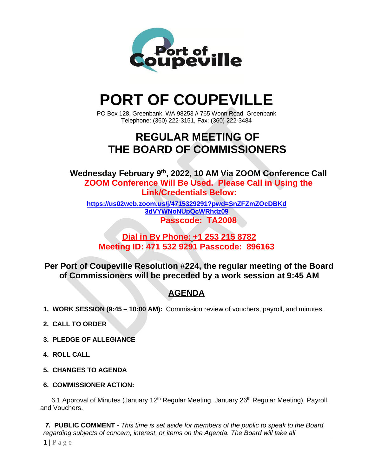

# **PORT OF COUPEVILLE**

PO Box 128, Greenbank, WA 98253 // 765 Wonn Road, Greenbank Telephone: (360) 222-3151, Fax: (360) 222-3484

# **REGULAR MEETING OF THE BOARD OF COMMISSIONERS**

**Wednesday February 9 th , 2022, 10 AM Via ZOOM Conference Call ZOOM Conference Will Be Used. Please Call in Using the Link/Credentials Below:**

**[https://us02web.zoom.us/j/4715329291?pwd=SnZFZmZOcDBKd](https://us02web.zoom.us/j/4715329291?pwd=SnZFZmZOcDBKd3dVYWNoNUpQcWRhdz09) [3dVYWNoNUpQcWRhdz09](https://us02web.zoom.us/j/4715329291?pwd=SnZFZmZOcDBKd3dVYWNoNUpQcWRhdz09) Passcode: TA2008**

### **Dial in By Phone: +1 253 215 8782 Meeting ID: 471 532 9291 Passcode: 896163**

**Per Port of Coupeville Resolution #224, the regular meeting of the Board of Commissioners will be preceded by a work session at 9:45 AM**

## **AGENDA**

- **1. WORK SESSION (9:45 – 10:00 AM):** Commission review of vouchers, payroll, and minutes.
- **2. CALL TO ORDER**
- **3. PLEDGE OF ALLEGIANCE**
- **4. ROLL CALL**
- **5. CHANGES TO AGENDA**
- **6. COMMISSIONER ACTION:**

6.1 Approval of Minutes (January 12<sup>th</sup> Regular Meeting, January 26<sup>th</sup> Regular Meeting), Payroll, and Vouchers.

*7.* **PUBLIC COMMENT -** *This time is set aside for members of the public to speak to the Board regarding subjects of concern, interest, or items on the Agenda. The Board will take all*